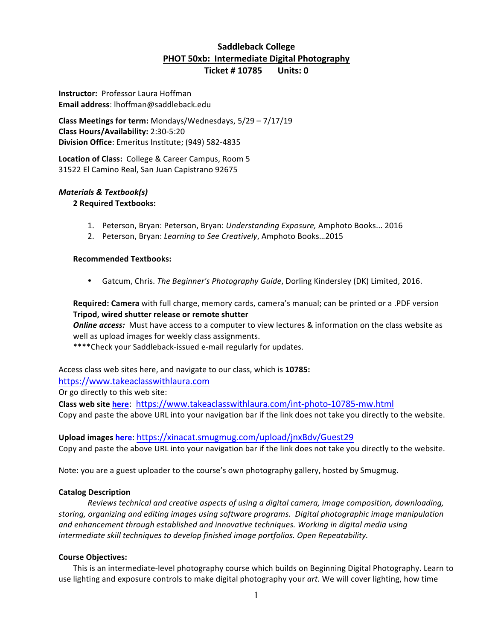# **Saddleback College PHOT 50xb: Intermediate Digital Photography**

**Ticket # 10785 Units: 0** 

**Instructor: Professor Laura Hoffman Email address**: lhoffman@saddleback.edu

**Class Meetings for term:** Mondays/Wednesdays,  $5/29 - 7/17/19$ **Class Hours/Availability:** 2:30-5:20 **Division Office:** Emeritus Institute; (949) 582-4835

Location of Class: College & Career Campus, Room 5 31522 El Camino Real, San Juan Capistrano 92675

## *Materials & Textbook(s)*

## **2 Required Textbooks:**

- 1. Peterson, Bryan: Peterson, Bryan: Understanding Exposure, Amphoto Books... 2016
- 2. Peterson, Bryan: Learning to See Creatively, Amphoto Books...2015

## **Recommended Textbooks:**

• Gatcum, Chris. *The Beginner's Photography Guide*, Dorling Kindersley (DK) Limited, 2016.

**Required: Camera** with full charge, memory cards, camera's manual; can be printed or a .PDF version **Tripod, wired shutter release or remote shutter** 

**Online access:** Must have access to a computer to view lectures & information on the class website as well as upload images for weekly class assignments.

\*\*\*\*Check your Saddleback-issued e-mail regularly for updates.

Access class web sites here, and navigate to our class, which is 10785:

https://www.takeaclasswithlaura.com

Or go directly to this web site:

**Class web site here**: https://www.takeaclasswithlaura.com/int-photo-10785-mw.html Copy and paste the above URL into your navigation bar if the link does not take you directly to the website.

**Upload images here**: https://xinacat.smugmug.com/upload/jnxBdv/Guest29 Copy and paste the above URL into your navigation bar if the link does not take you directly to the website.

Note: you are a guest uploader to the course's own photography gallery, hosted by Smugmug.

## **Catalog Description**

Reviews technical and creative aspects of using a digital camera, image composition, downloading, storing, organizing and editing images using software programs. Digital photographic image manipulation and enhancement through established and innovative techniques. Working in digital media using *intermediate skill techniques to develop finished image portfolios. Open Repeatability.* 

## **Course Objectives:**

This is an intermediate-level photography course which builds on Beginning Digital Photography. Learn to use lighting and exposure controls to make digital photography your art. We will cover lighting, how time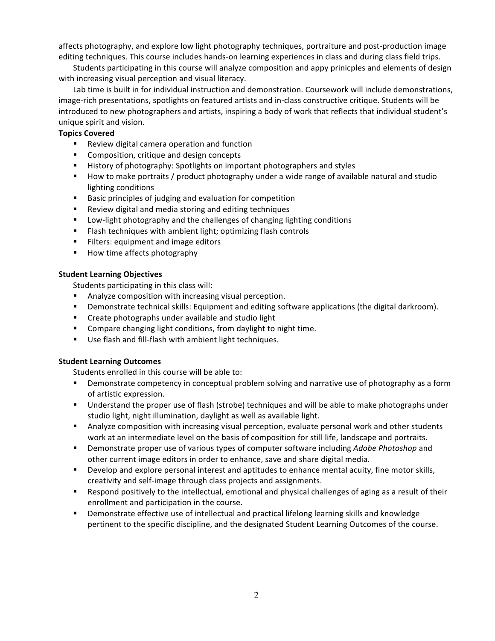affects photography, and explore low light photography techniques, portraiture and post-production image editing techniques. This course includes hands-on learning experiences in class and during class field trips.

Students participating in this course will analyze composition and appy prinicples and elements of design with increasing visual perception and visual literacy.

Lab time is built in for individual instruction and demonstration. Coursework will include demonstrations, image-rich presentations, spotlights on featured artists and in-class constructive critique. Students will be introduced to new photographers and artists, inspiring a body of work that reflects that individual student's unique spirit and vision.

## **Topics Covered**

- **E** Review digital camera operation and function
- **EXECOM** Composition, critique and design concepts
- " History of photography: Spotlights on important photographers and styles
- " How to make portraits / product photography under a wide range of available natural and studio lighting conditions
- Basic principles of judging and evaluation for competition
- Review digital and media storing and editing techniques
- **E** Low-light photography and the challenges of changing lighting conditions
- **EXECT:** Flash techniques with ambient light; optimizing flash controls
- **EXECT:** Filters: equipment and image editors
- **EXECT:** How time affects photography

## **Student Learning Objectives**

Students participating in this class will:

- **EXECOM** Analyze composition with increasing visual perception.
- " Demonstrate technical skills: Equipment and editing software applications (the digital darkroom).
- Create photographs under available and studio light
- " Compare changing light conditions, from daylight to night time.
- Use flash and fill-flash with ambient light techniques.

## **Student Learning Outcomes**

Students enrolled in this course will be able to:

- Demonstrate competency in conceptual problem solving and narrative use of photography as a form of artistic expression.
- " Understand the proper use of flash (strobe) techniques and will be able to make photographs under studio light, night illumination, daylight as well as available light.
- " Analyze composition with increasing visual perception, evaluate personal work and other students work at an intermediate level on the basis of composition for still life, landscape and portraits.
- **.** Demonstrate proper use of various types of computer software including *Adobe Photoshop* and other current image editors in order to enhance, save and share digital media.
- " Develop and explore personal interest and aptitudes to enhance mental acuity, fine motor skills, creativity and self-image through class projects and assignments.
- " Respond positively to the intellectual, emotional and physical challenges of aging as a result of their enrollment and participation in the course.
- " Demonstrate effective use of intellectual and practical lifelong learning skills and knowledge pertinent to the specific discipline, and the designated Student Learning Outcomes of the course.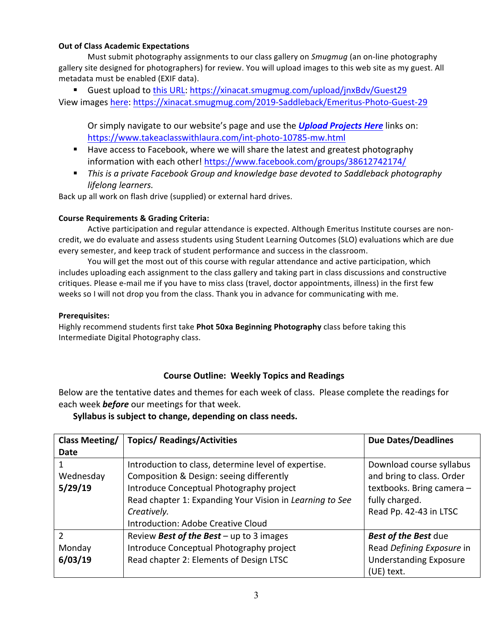## **Out of Class Academic Expectations**

Must submit photography assignments to our class gallery on *Smugmug* (an on-line photography gallery site designed for photographers) for review. You will upload images to this web site as my guest. All metadata must be enabled (EXIF data).

■ Guest upload to this URL: https://xinacat.smugmug.com/upload/jnxBdv/Guest29 View images here: https://xinacat.smugmug.com/2019-Saddleback/Emeritus-Photo-Guest-29

Or simply navigate to our website's page and use the **Upload Projects Here** links on: https://www.takeaclasswithlaura.com/int-photo-10785-mw.html

- Have access to Facebook, where we will share the latest and greatest photography information with each other! https://www.facebook.com/groups/38612742174/
- **.** This is a private Facebook Group and knowledge base devoted to Saddleback photography *lifelong learners.*

Back up all work on flash drive (supplied) or external hard drives.

## **Course Requirements & Grading Criteria:**

Active participation and regular attendance is expected. Although Emeritus Institute courses are noncredit, we do evaluate and assess students using Student Learning Outcomes (SLO) evaluations which are due every semester, and keep track of student performance and success in the classroom.

You will get the most out of this course with regular attendance and active participation, which includes uploading each assignment to the class gallery and taking part in class discussions and constructive critiques. Please e-mail me if you have to miss class (travel, doctor appointments, illness) in the first few weeks so I will not drop you from the class. Thank you in advance for communicating with me.

## **Prerequisites:**

Highly recommend students first take **Phot 50xa Beginning Photography** class before taking this Intermediate Digital Photography class.

## **Course Outline: Weekly Topics and Readings**

Below are the tentative dates and themes for each week of class. Please complete the readings for each week **before** our meetings for that week.

## **Syllabus is subject to change, depending on class needs.**

| Class Meeting/ | <b>Topics/ Readings/Activities</b>                       | <b>Due Dates/Deadlines</b>    |
|----------------|----------------------------------------------------------|-------------------------------|
| Date           |                                                          |                               |
|                | Introduction to class, determine level of expertise.     | Download course syllabus      |
| Wednesday      | Composition & Design: seeing differently                 | and bring to class. Order     |
| 5/29/19        | Introduce Conceptual Photography project                 | textbooks. Bring camera-      |
|                | Read chapter 1: Expanding Your Vision in Learning to See | fully charged.                |
|                | Creatively.                                              | Read Pp. 42-43 in LTSC        |
|                | Introduction: Adobe Creative Cloud                       |                               |
| $\mathfrak{p}$ | Review Best of the Best - up to 3 images                 | <b>Best of the Best due</b>   |
| Monday         | Introduce Conceptual Photography project                 | Read Defining Exposure in     |
| 6/03/19        | Read chapter 2: Elements of Design LTSC                  | <b>Understanding Exposure</b> |
|                |                                                          | (UE) text.                    |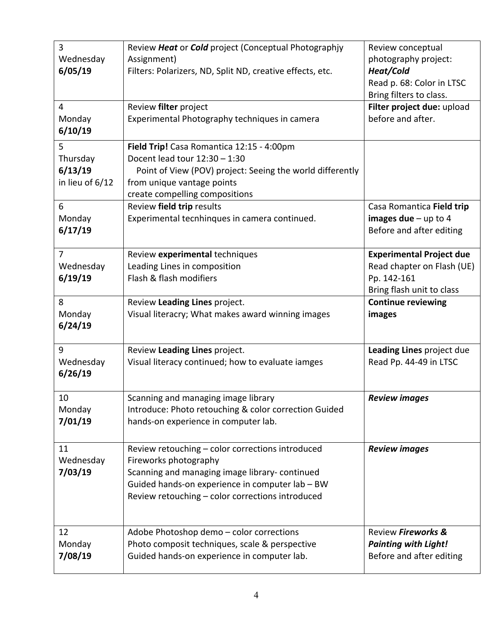| 3<br>Wednesday<br>6/05/19                   | Review Heat or Cold project (Conceptual Photographjy<br>Assignment)<br>Filters: Polarizers, ND, Split ND, creative effects, etc.                                                                                                  | Review conceptual<br>photography project:<br>Heat/Cold<br>Read p. 68: Color in LTSC<br>Bring filters to class. |
|---------------------------------------------|-----------------------------------------------------------------------------------------------------------------------------------------------------------------------------------------------------------------------------------|----------------------------------------------------------------------------------------------------------------|
| $\overline{4}$<br>Monday<br>6/10/19         | Review filter project<br>Experimental Photography techniques in camera                                                                                                                                                            | Filter project due: upload<br>before and after.                                                                |
| 5<br>Thursday<br>6/13/19<br>in lieu of 6/12 | Field Trip! Casa Romantica 12:15 - 4:00pm<br>Docent lead tour 12:30 - 1:30<br>Point of View (POV) project: Seeing the world differently<br>from unique vantage points<br>create compelling compositions                           |                                                                                                                |
| 6<br>Monday<br>6/17/19                      | Review field trip results<br>Experimental tecnhinques in camera continued.                                                                                                                                                        | Casa Romantica Field trip<br>images due $-$ up to 4<br>Before and after editing                                |
| $\overline{7}$<br>Wednesday<br>6/19/19      | Review experimental techniques<br>Leading Lines in composition<br>Flash & flash modifiers                                                                                                                                         | <b>Experimental Project due</b><br>Read chapter on Flash (UE)<br>Pp. 142-161<br>Bring flash unit to class      |
| 8<br>Monday<br>6/24/19                      | Review Leading Lines project.<br>Visual literacry; What makes award winning images                                                                                                                                                | <b>Continue reviewing</b><br>images                                                                            |
| 9<br>Wednesday<br>6/26/19                   | Review Leading Lines project.<br>Visual literacy continued; how to evaluate iamges                                                                                                                                                | Leading Lines project due<br>Read Pp. 44-49 in LTSC                                                            |
| 10<br>Monday<br>7/01/19                     | Scanning and managing image library<br>Introduce: Photo retouching & color correction Guided<br>hands-on experience in computer lab.                                                                                              | <b>Review images</b>                                                                                           |
| 11<br>Wednesday<br>7/03/19                  | Review retouching - color corrections introduced<br>Fireworks photography<br>Scanning and managing image library-continued<br>Guided hands-on experience in computer lab - BW<br>Review retouching - color corrections introduced | <b>Review images</b>                                                                                           |
| 12<br>Monday<br>7/08/19                     | Adobe Photoshop demo - color corrections<br>Photo composit techniques, scale & perspective<br>Guided hands-on experience in computer lab.                                                                                         | Review Fireworks &<br><b>Painting with Light!</b><br>Before and after editing                                  |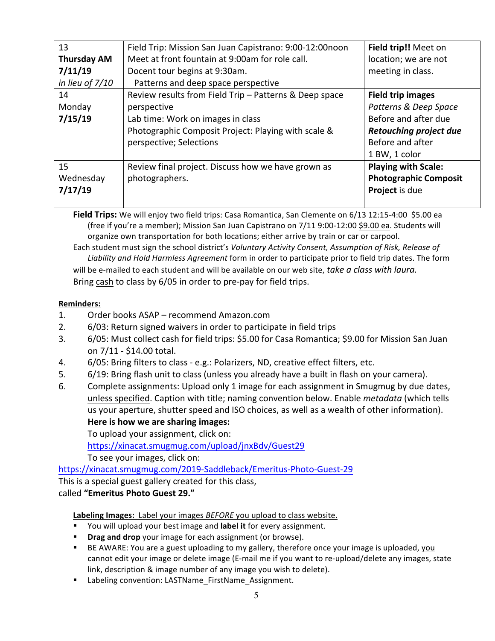| 13                 | Field Trip: Mission San Juan Capistrano: 9:00-12:00noon | Field trip!! Meet on          |
|--------------------|---------------------------------------------------------|-------------------------------|
| <b>Thursday AM</b> | Meet at front fountain at 9:00am for role call.         | location; we are not          |
| 7/11/19            | Docent tour begins at 9:30am.                           | meeting in class.             |
| in lieu of $7/10$  | Patterns and deep space perspective                     |                               |
| 14                 | Review results from Field Trip - Patterns & Deep space  | <b>Field trip images</b>      |
| Monday             | perspective                                             | Patterns & Deep Space         |
| 7/15/19            | Lab time: Work on images in class                       | Before and after due          |
|                    | Photographic Composit Project: Playing with scale &     | <b>Retouching project due</b> |
|                    | perspective; Selections                                 | Before and after              |
|                    |                                                         | 1 BW, 1 color                 |
| 15                 | Review final project. Discuss how we have grown as      | <b>Playing with Scale:</b>    |
| Wednesday          | photographers.                                          | <b>Photographic Composit</b>  |
| 7/17/19            |                                                         | Project is due                |
|                    |                                                         |                               |

**Field Trips:** We will enjoy two field trips: Casa Romantica, San Clemente on 6/13 12:15-4:00 \$5.00 ea (free if you're a member); Mission San Juan Capistrano on 7/11 9:00-12:00 \$9.00 ea. Students will organize own transportation for both locations; either arrive by train or car or carpool.

Each student must sign the school district's *Voluntary Activity Consent, Assumption of Risk, Release of* Liability and Hold Harmless Agreement form in order to participate prior to field trip dates. The form will be e-mailed to each student and will be available on our web site, *take a class with laura.* Bring cash to class by 6/05 in order to pre-pay for field trips.

# **Reminders:**

- 1. Order books ASAP recommend Amazon.com
- 2. 6/03: Return signed waivers in order to participate in field trips
- 3. 6/05: Must collect cash for field trips: \$5.00 for Casa Romantica; \$9.00 for Mission San Juan on 7/11 - \$14.00 total.
- 4. 6/05: Bring filters to class e.g.: Polarizers, ND, creative effect filters, etc.
- 5. 6/19: Bring flash unit to class (unless you already have a built in flash on your camera).
- 6. Complete assignments: Upload only 1 image for each assignment in Smugmug by due dates, unless specified. Caption with title; naming convention below. Enable *metadata* (which tells us your aperture, shutter speed and ISO choices, as well as a wealth of other information). Here is how we are sharing images:

To upload your assignment, click on:

https://xinacat.smugmug.com/upload/jnxBdv/Guest29

To see your images, click on:

https://xinacat.smugmug.com/2019-Saddleback/Emeritus-Photo-Guest-29 This is a special guest gallery created for this class,

called **"Emeritus Photo Guest 29."**

Labeling Images: Label your images *BEFORE* you upload to class website.

- You will upload your best image and label it for every assignment.
- **Drag and drop** your image for each assignment (or browse).
- " BE AWARE: You are a guest uploading to my gallery, therefore once your image is uploaded, you cannot edit your image or delete image (E-mail me if you want to re-upload/delete any images, state link, description & image number of any image you wish to delete).
- Labeling convention: LASTName\_FirstName\_Assignment.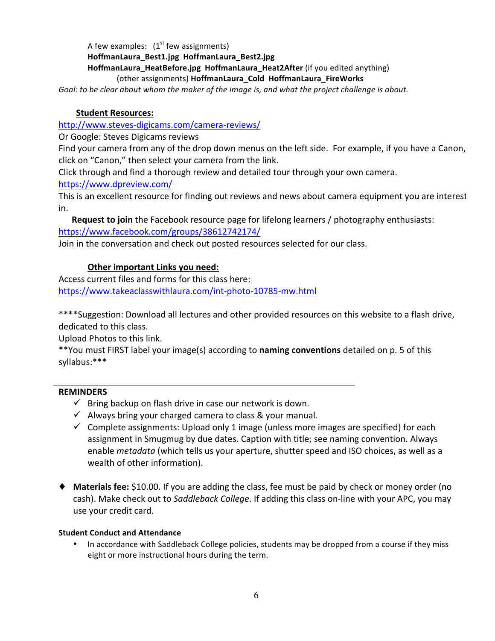A few examples:  $(1<sup>st</sup>$  few assignments) **HoffmanLaura\_Best1.jpg HoffmanLaura\_Best2.jpg HoffmanLaura HeatBefore.jpg HoffmanLaura Heat2After** (if you edited anything) (other assignments) HoffmanLaura\_Cold HoffmanLaura\_FireWorks

Goal: to be clear about whom the maker of the *image is, and what the project challenge is about.* 

## **Student Resources:**

http://www.steves-digicams.com/camera-reviews/ 

Or Google: Steves Digicams reviews

Find your camera from any of the drop down menus on the left side. For example, if you have a Canon, click on "Canon," then select your camera from the link.

Click through and find a thorough review and detailed tour through your own camera.

https://www.dpreview.com/

This is an excellent resource for finding out reviews and news about camera equipment you are interest in.

**Request to join** the Facebook resource page for lifelong learners / photography enthusiasts: https://www.facebook.com/groups/38612742174/

Join in the conversation and check out posted resources selected for our class.

## **Other important Links you need:**

Access current files and forms for this class here: https://www.takeaclasswithlaura.com/int-photo-10785-mw.html

\*\*\*\*Suggestion: Download all lectures and other provided resources on this website to a flash drive, dedicated to this class.

Upload Photos to this link.

\*\*You must FIRST label your image(s) according to **naming conventions** detailed on p. 5 of this syllabus:\*\*\*

## **REMINDERS**

- $\checkmark$  Bring backup on flash drive in case our network is down.
- $\checkmark$  Always bring your charged camera to class & your manual.
- $\checkmark$  Complete assignments: Upload only 1 image (unless more images are specified) for each assignment in Smugmug by due dates. Caption with title; see naming convention. Always enable *metadata* (which tells us your aperture, shutter speed and ISO choices, as well as a wealth of other information).
- ◆ Materials fee: \$10.00. If you are adding the class, fee must be paid by check or money order (no cash). Make check out to *Saddleback College*. If adding this class on-line with your APC, you may use your credit card.

## **Student Conduct and Attendance**

In accordance with Saddleback College policies, students may be dropped from a course if they miss eight or more instructional hours during the term.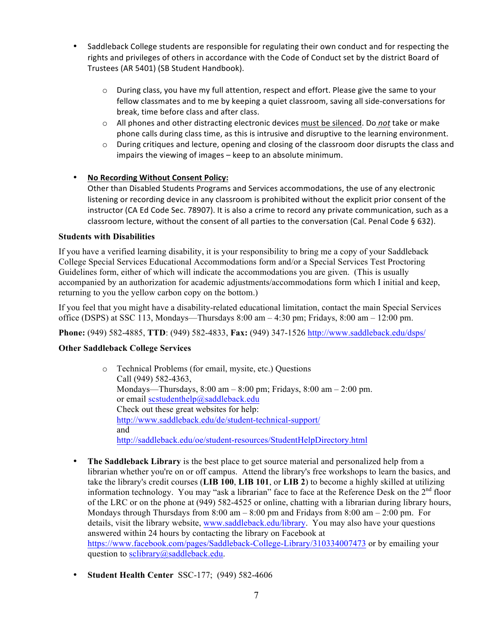- Saddleback College students are responsible for regulating their own conduct and for respecting the rights and privileges of others in accordance with the Code of Conduct set by the district Board of Trustees (AR 5401) (SB Student Handbook).
	- $\circ$  During class, you have my full attention, respect and effort. Please give the same to your fellow classmates and to me by keeping a quiet classroom, saving all side-conversations for break, time before class and after class.
	- o All phones and other distracting electronic devices must be silenced. Do not take or make phone calls during class time, as this is intrusive and disruptive to the learning environment.
	- $\circ$  During critiques and lecture, opening and closing of the classroom door disrupts the class and impairs the viewing of images  $-$  keep to an absolute minimum.

## **No Recording Without Consent Policy:**

Other than Disabled Students Programs and Services accommodations, the use of any electronic listening or recording device in any classroom is prohibited without the explicit prior consent of the instructor (CA Ed Code Sec. 78907). It is also a crime to record any private communication, such as a classroom lecture, without the consent of all parties to the conversation (Cal. Penal Code § 632).

## **Students with Disabilities**

If you have a verified learning disability, it is your responsibility to bring me a copy of your Saddleback College Special Services Educational Accommodations form and/or a Special Services Test Proctoring Guidelines form, either of which will indicate the accommodations you are given. (This is usually accompanied by an authorization for academic adjustments/accommodations form which I initial and keep, returning to you the yellow carbon copy on the bottom.)

If you feel that you might have a disability-related educational limitation, contact the main Special Services office (DSPS) at SSC 113, Mondays—Thursdays  $8:00 \text{ am} - 4:30 \text{ pm}$ ; Fridays,  $8:00 \text{ am} - 12:00 \text{ pm}$ .

**Phone:** (949) 582-4885, **TTD**: (949) 582-4833, **Fax:** (949) 347-1526 http://www.saddleback.edu/dsps/

## **Other Saddleback College Services**

- o Technical Problems (for email, mysite, etc.) Questions Call (949) 582-4363, Mondays—Thursdays,  $8:00 \text{ am} - 8:00 \text{ pm}$ ; Fridays,  $8:00 \text{ am} - 2:00 \text{ pm}$ . or email scstudenthelp@saddleback.edu Check out these great websites for help: http://www.saddleback.edu/de/student-technical-support/ and http://saddleback.edu/oe/student-resources/StudentHelpDirectory.html
- **The Saddleback Library** is the best place to get source material and personalized help from a librarian whether you're on or off campus. Attend the library's free workshops to learn the basics, and take the library's credit courses (**LIB 100**, **LIB 101**, or **LIB 2**) to become a highly skilled at utilizing information technology. You may "ask a librarian" face to face at the Reference Desk on the  $2<sup>nd</sup>$  floor of the LRC or on the phone at (949) 582-4525 or online, chatting with a librarian during library hours, Mondays through Thursdays from  $8:00$  am  $-8:00$  pm and Fridays from  $8:00$  am  $-2:00$  pm. For details, visit the library website, www.saddleback.edu/library. You may also have your questions answered within 24 hours by contacting the library on Facebook at https://www.facebook.com/pages/Saddleback-College-Library/310334007473 or by emailing your question to sclibrary@saddleback.edu.
- **Student Health Center** SSC-177; (949) 582-4606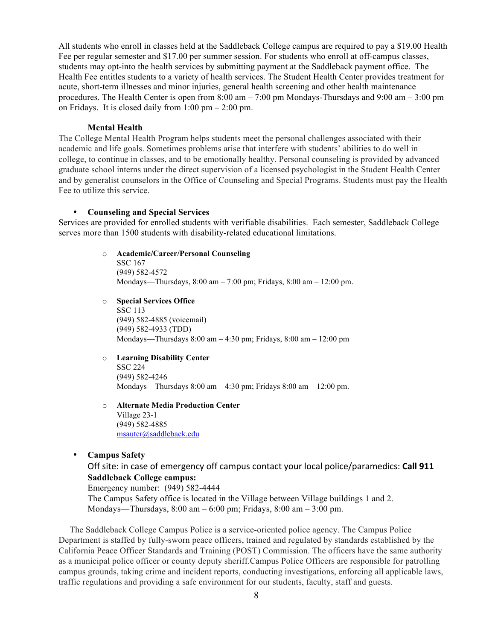All students who enroll in classes held at the Saddleback College campus are required to pay a \$19.00 Health Fee per regular semester and \$17.00 per summer session. For students who enroll at off-campus classes, students may opt-into the health services by submitting payment at the Saddleback payment office. The Health Fee entitles students to a variety of health services. The Student Health Center provides treatment for acute, short-term illnesses and minor injuries, general health screening and other health maintenance procedures. The Health Center is open from 8:00 am – 7:00 pm Mondays-Thursdays and 9:00 am – 3:00 pm on Fridays. It is closed daily from  $1:00 \text{ pm} - 2:00 \text{ pm}$ .

#### **Mental Health**

The College Mental Health Program helps students meet the personal challenges associated with their academic and life goals. Sometimes problems arise that interfere with students' abilities to do well in college, to continue in classes, and to be emotionally healthy. Personal counseling is provided by advanced graduate school interns under the direct supervision of a licensed psychologist in the Student Health Center and by generalist counselors in the Office of Counseling and Special Programs. Students must pay the Health Fee to utilize this service.

#### • **Counseling and Special Services**

Services are provided for enrolled students with verifiable disabilities. Each semester, Saddleback College serves more than 1500 students with disability-related educational limitations.

- o **Academic/Career/Personal Counseling** SSC 167 (949) 582-4572 Mondays—Thursdays, 8:00 am – 7:00 pm; Fridays, 8:00 am – 12:00 pm.
- o **Special Services Office** SSC 113 (949) 582-4885 (voicemail) (949) 582-4933 (TDD) Mondays—Thursdays 8:00 am – 4:30 pm; Fridays, 8:00 am – 12:00 pm
- o **Learning Disability Center** SSC 224 (949) 582-4246 Mondays—Thursdays 8:00 am – 4:30 pm; Fridays 8:00 am – 12:00 pm.
- o **Alternate Media Production Center** Village 23-1 (949) 582-4885 msauter@saddleback.edu
- **Campus Safety**

Off site: in case of emergency off campus contact your local police/paramedics: **Call 911 Saddleback College campus:**

Emergency number: (949) 582-4444 The Campus Safety office is located in the Village between Village buildings 1 and 2. Mondays—Thursdays,  $8:00 \text{ am} - 6:00 \text{ pm}$ ; Fridays,  $8:00 \text{ am} - 3:00 \text{ pm}$ .

 The Saddleback College Campus Police is a service-oriented police agency. The Campus Police Department is staffed by fully-sworn peace officers, trained and regulated by standards established by the California Peace Officer Standards and Training (POST) Commission. The officers have the same authority as a municipal police officer or county deputy sheriff.Campus Police Officers are responsible for patrolling campus grounds, taking crime and incident reports, conducting investigations, enforcing all applicable laws, traffic regulations and providing a safe environment for our students, faculty, staff and guests.